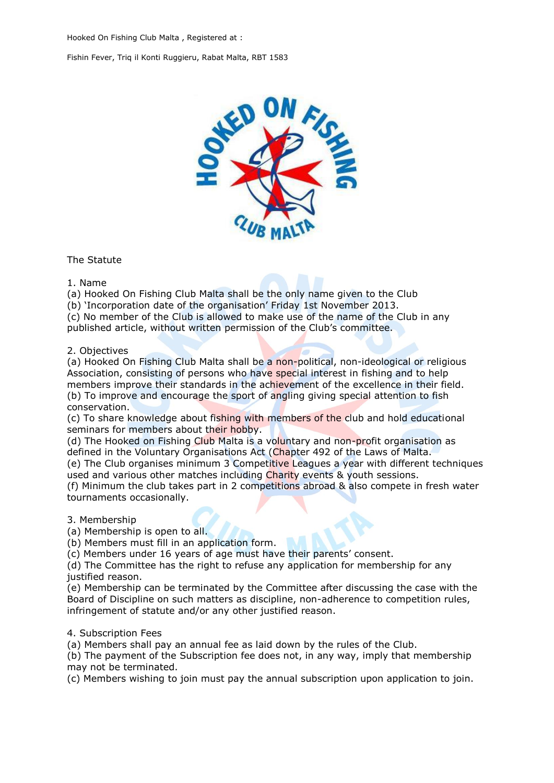

The Statute

1. Name

(a) Hooked On Fishing Club Malta shall be the only name given to the Club

(b) 'Incorporation date of the organisation' Friday 1st November 2013.

(c) No member of the Club is allowed to make use of the name of the Club in any published article, without written permission of the Club's committee.

### 2. Objectives

(a) Hooked On Fishing Club Malta shall be a non-political, non-ideological or religious Association, consisting of persons who have special interest in fishing and to help members improve their standards in the achievement of the excellence in their field. (b) To improve and encourage the sport of angling giving special attention to fish

#### conservation.

(c) To share knowledge about fishing with members of the club and hold educational seminars for members about their hobby.

(d) The Hooked on Fishing Club Malta is a voluntary and non-profit organisation as defined in the Voluntary Organisations Act (Chapter 492 of the Laws of Malta.

(e) The Club organises minimum 3 Competitive Leagues a year with different techniques used and various other matches including Charity events & youth sessions.

(f) Minimum the club takes part in 2 competitions abroad & also compete in fresh water tournaments occasionally.

3. Membership

(a) Membership is open to all.

(b) Members must fill in an application form.

(c) Members under 16 years of age must have their parents' consent.

(d) The Committee has the right to refuse any application for membership for any justified reason.

(e) Membership can be terminated by the Committee after discussing the case with the Board of Discipline on such matters as discipline, non-adherence to competition rules, infringement of statute and/or any other justified reason.

#### 4. Subscription Fees

(a) Members shall pay an annual fee as laid down by the rules of the Club.

(b) The payment of the Subscription fee does not, in any way, imply that membership may not be terminated.

(c) Members wishing to join must pay the annual subscription upon application to join.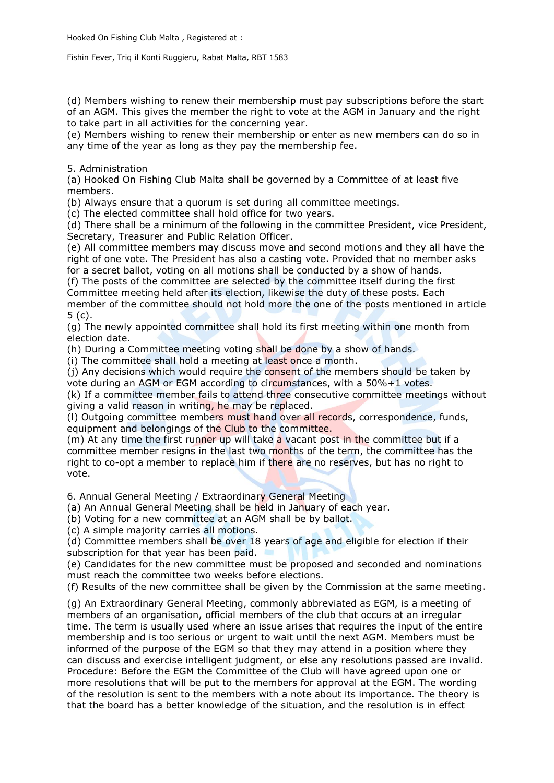(d) Members wishing to renew their membership must pay subscriptions before the start of an AGM. This gives the member the right to vote at the AGM in January and the right to take part in all activities for the concerning year.

(e) Members wishing to renew their membership or enter as new members can do so in any time of the year as long as they pay the membership fee.

5. Administration

(a) Hooked On Fishing Club Malta shall be governed by a Committee of at least five members.

(b) Always ensure that a quorum is set during all committee meetings.

(c) The elected committee shall hold office for two years.

(d) There shall be a minimum of the following in the committee President, vice President, Secretary, Treasurer and Public Relation Officer.

(e) All committee members may discuss move and second motions and they all have the right of one vote. The President has also a casting vote. Provided that no member asks for a secret ballot, voting on all motions shall be conducted by a show of hands.

(f) The posts of the committee are selected by the committee itself during the first Committee meeting held after its election, likewise the duty of these posts. Each member of the committee should not hold more the one of the posts mentioned in article 5 (c).

(g) The newly appointed committee shall hold its first meeting within one month from election date.

(h) During a Committee meeting voting shall be done by a show of hands.

(i) The committee shall hold a meeting at least once a month.

(j) Any decisions which would require the consent of the members should be taken by vote during an AGM or EGM according to circumstances, with a 50%+1 votes.

(k) If a committee member fails to attend three consecutive committee meetings without giving a valid reason in writing, he may be replaced.

(l) Outgoing committee members must hand over all records, correspondence, funds, equipment and belongings of the Club to the committee.

(m) At any time the first runner up will take a vacant post in the committee but if a committee member resigns in the last two months of the term, the committee has the right to co-opt a member to replace him if there are no reserves, but has no right to vote.

6. Annual General Meeting / Extraordinary General Meeting

(a) An Annual General Meeting shall be held in January of each year.

(b) Voting for a new committee at an AGM shall be by ballot.

(c) A simple majority carries all motions.

(d) Committee members shall be over 18 years of age and eligible for election if their subscription for that year has been paid.

(e) Candidates for the new committee must be proposed and seconded and nominations must reach the committee two weeks before elections.

(f) Results of the new committee shall be given by the Commission at the same meeting.

(g) An Extraordinary General Meeting, commonly abbreviated as EGM, is a meeting of members of an organisation, official members of the club that occurs at an irregular time. The term is usually used where an issue arises that requires the input of the entire membership and is too serious or urgent to wait until the next AGM. Members must be informed of the purpose of the EGM so that they may attend in a position where they can discuss and exercise intelligent judgment, or else any resolutions passed are invalid. Procedure: Before the EGM the Committee of the Club will have agreed upon one or more resolutions that will be put to the members for approval at the EGM. The wording of the resolution is sent to the members with a note about its importance. The theory is that the board has a better knowledge of the situation, and the resolution is in effect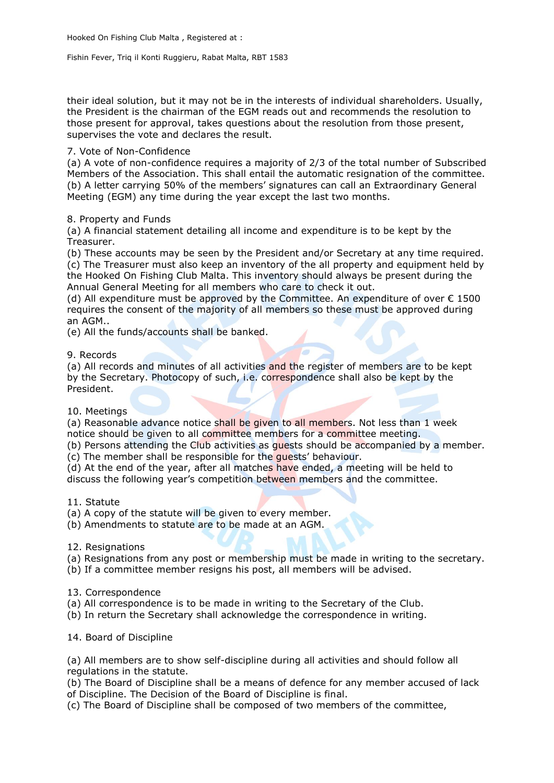their ideal solution, but it may not be in the interests of individual shareholders. Usually, the President is the chairman of the EGM reads out and recommends the resolution to those present for approval, takes questions about the resolution from those present, supervises the vote and declares the result.

# 7. Vote of Non-Confidence

(a) A vote of non-confidence requires a majority of 2/3 of the total number of Subscribed Members of the Association. This shall entail the automatic resignation of the committee. (b) A letter carrying 50% of the members' signatures can call an Extraordinary General Meeting (EGM) any time during the year except the last two months.

# 8. Property and Funds

(a) A financial statement detailing all income and expenditure is to be kept by the Treasurer.

(b) These accounts may be seen by the President and/or Secretary at any time required. (c) The Treasurer must also keep an inventory of the all property and equipment held by the Hooked On Fishing Club Malta. This inventory should always be present during the Annual General Meeting for all members who care to check it out.

(d) All expenditure must be approved by the Committee. An expenditure of over  $\epsilon$  1500 requires the consent of the majority of all members so these must be approved during an AGM..

(e) All the funds/accounts shall be banked.

# 9. Records

(a) All records and minutes of all activities and the register of members are to be kept by the Secretary. Photocopy of such, i.e. correspondence shall also be kept by the President.

## 10. Meetings

(a) Reasonable advance notice shall be given to all members. Not less than 1 week notice should be given to all committee members for a committee meeting.

(b) Persons attending the Club activities as quests should be accompanied by a member. (c) The member shall be responsible for the guests' behaviour.

(d) At the end of the year, after all matches have ended, a meeting will be held to

discuss the following year's competition between members and the committee.

## 11. Statute

(a) A copy of the statute will be given to every member.

(b) Amendments to statute are to be made at an AGM.

## 12. Resignations

(a) Resignations from any post or membership must be made in writing to the secretary.

(b) If a committee member resigns his post, all members will be advised.

## 13. Correspondence

- (a) All correspondence is to be made in writing to the Secretary of the Club.
- (b) In return the Secretary shall acknowledge the correspondence in writing.

14. Board of Discipline

(a) All members are to show self-discipline during all activities and should follow all regulations in the statute.

(b) The Board of Discipline shall be a means of defence for any member accused of lack of Discipline. The Decision of the Board of Discipline is final.

(c) The Board of Discipline shall be composed of two members of the committee,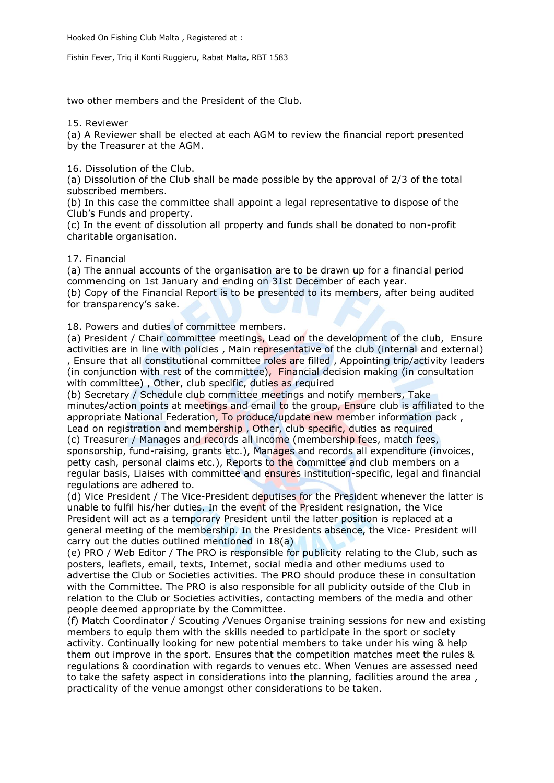two other members and the President of the Club.

15. Reviewer

(a) A Reviewer shall be elected at each AGM to review the financial report presented by the Treasurer at the AGM.

16. Dissolution of the Club.

(a) Dissolution of the Club shall be made possible by the approval of 2/3 of the total subscribed members.

(b) In this case the committee shall appoint a legal representative to dispose of the Club's Funds and property.

(c) In the event of dissolution all property and funds shall be donated to non-profit charitable organisation.

### 17. Financial

(a) The annual accounts of the organisation are to be drawn up for a financial period commencing on 1st January and ending on 31st December of each year.

(b) Copy of the Financial Report is to be presented to its members, after being audited for transparency's sake.

18. Powers and duties of committee members.

(a) President / Chair committee meetings, Lead on the development of the club, Ensure activities are in line with policies , Main representative of the club (internal and external) , Ensure that all constitutional committee roles are filled , Appointing trip/activity leaders (in conjunction with rest of the committee), Financial decision making (in consultation with committee), Other, club specific, duties as required

(b) Secretary / Schedule club committee meetings and notify members, Take minutes/action points at meetings and email to the group, Ensure club is affiliated to the appropriate National Federation, To produce/update new member information pack , Lead on registration and membership, Other, club specific, duties as required (c) Treasurer / Manages and records all income (membership fees, match fees, sponsorship, fund-raising, grants etc.), Manages and records all expenditure (invoices, petty cash, personal claims etc.), Reports to the committee and club members on a regular basis, Liaises with committee and ensures institution-specific, legal and financial

regulations are adhered to.

(d) Vice President / The Vice-President deputises for the President whenever the latter is unable to fulfil his/her duties. In the event of the President resignation, the Vice President will act as a temporary President until the latter position is replaced at a general meeting of the membership. In the Presidents absence, the Vice- President will carry out the duties outlined mentioned in 18(a)

(e) PRO / Web Editor / The PRO is responsible for publicity relating to the Club, such as posters, leaflets, email, texts, Internet, social media and other mediums used to advertise the Club or Societies activities. The PRO should produce these in consultation with the Committee. The PRO is also responsible for all publicity outside of the Club in relation to the Club or Societies activities, contacting members of the media and other people deemed appropriate by the Committee.

(f) Match Coordinator / Scouting /Venues Organise training sessions for new and existing members to equip them with the skills needed to participate in the sport or society activity. Continually looking for new potential members to take under his wing & help them out improve in the sport. Ensures that the competition matches meet the rules & regulations & coordination with regards to venues etc. When Venues are assessed need to take the safety aspect in considerations into the planning, facilities around the area , practicality of the venue amongst other considerations to be taken.